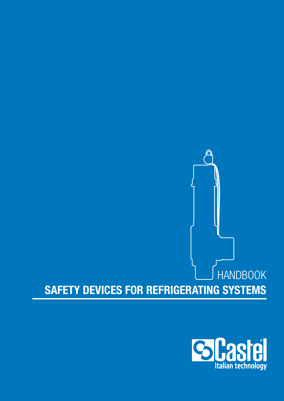# **SAFETY DEVICES FOR REFRIGERATING SYSTEMS** HANDBOOK



 $\bf \Omega$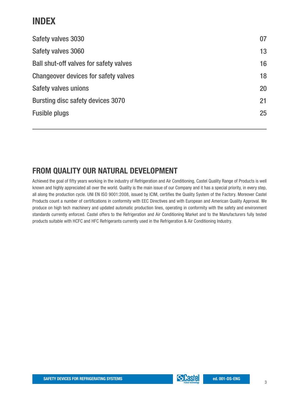### **INDEX**

| <b>Safety valves 3030</b>                     | 07 |
|-----------------------------------------------|----|
| <b>Safety valves 3060</b>                     | 13 |
| <b>Ball shut-off valves for safety valves</b> | 16 |
| <b>Changeover devices for safety valves</b>   | 18 |
| <b>Safety valves unions</b>                   | 20 |
| <b>Bursting disc safety devices 3070</b>      | 21 |
| <b>Fusible plugs</b>                          | 25 |
|                                               |    |

### **FROM QUALITY OUR NATURAL DEVELOPMENT**

Achieved the goal of fifty years working in the industry of Refrigeration and Air Conditioning, Castel Quality Range of Products is well known and highly appreciated all over the world. Quality is the main issue of our Company and it has a special priority, in every step, all along the production cycle. UNI EN ISO 9001:2008, issued by ICIM, certifies the Quality System of the Factory. Moreover Castel Products count a number of certifications in conformity with EEC Directives and with European and American Quality Approval. We produce on high tech machinery and updated automatic production lines, operating in conformity with the safety and environment standards currently enforced. Castel offers to the Refrigeration and Air Conditioning Market and to the Manufacturers fully tested products suitable with HCFC and HFC Refrigerants currently used in the Refrigeration & Air Conditioning Industry.

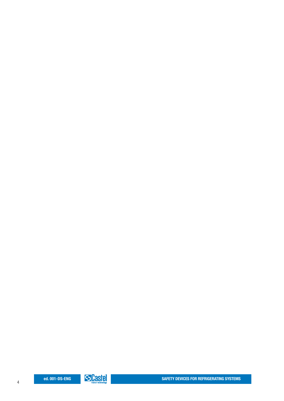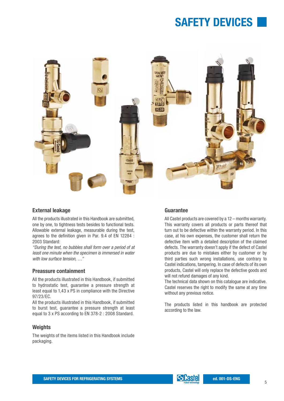### **SAFETY DEVICES**



### **External leakage**

All the products illustrated in this Handbook are submitted, one by one, to tightness tests besides to functional tests. Allowable external leakage, measurable during the test, agrees to the definition given in Par. 9.4 of EN 12284 : 2003 Standard:

*"During the test, no bubbles shall form over a period of at least one minute when the specimen is immersed in water with low surface tension, …"*

### **Preassure containment**

All the products illustrated in this Handbook, if submitted to hydrostatic test, guarantee a pressure strength at least equal to 1,43 x PS in compliance with the Directive 97/23/EC.

All the products illustrated in this Handbook, if submitted to burst test, guarantee a pressure strength at least equal to 3 x PS according to EN 378-2 : 2008 Standard.

### **Weights**

The weights of the items listed in this Handbook include packaging.

#### **Guarantee**

All Castel products are covered by a 12 – months warranty. This warranty covers all products or parts thereof that turn out to be defective within the warranty period. In this case, at his own expenses, the customer shall return the defective item with a detailed description of the claimed defects. The warranty doesn't apply if the defect of Castel products are due to mistakes either by customer or by third parties such wrong installations, use contrary to Castel indications, tampering. In case of defects of its own products, Castel will only replace the defective goods and will not refund damages of any kind.

The technical data shown on this catalogue are indicative. Castel reserves the right to modify the same at any time without any previous notice.

The products listed in this handbook are protected according to the law.

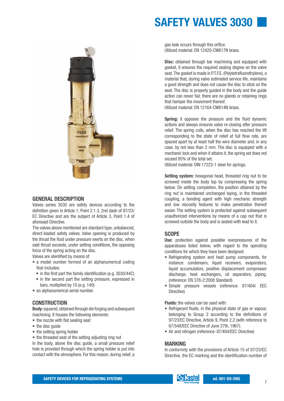# **SAFETY VALVES 3030**



### **GENERAL DESCRIPTION**

Valves series 3030 are safety devices according to the definition given in Article 1, Point 2.1.3, 2nd dash of 97/23/ EC Directive and are the subject of Article 3, Point 1.4 of aforesaid Directive.

The valves above mentioned are standard type, unbalanced, direct-loaded safety valves. Valve opening is produced by the thrust the fluid under pressure exerts on the disc, when said thrust exceeds, under setting conditions, the opposing force of the spring acting on the disc.

Valves are identified by means of:

- a model number formed of an alphanumerical coding that includes:
	- in the first part the family identification (e.g. 3030/44C)
	- in the second part the setting pressure, expressed in bars, multiplied by 10 (e.g. 140)
- an alphanumerical serial number.

### **CONSTRUCTION**

**Body:** squared, obtained through die forging and subsequent machining. It houses the following elements:

- the nozzle with flat sealing seat
- the disc quide
- the setting spring holder
- the threaded seat of the setting adjusting ring nut

In the body, above the disc guide, a small pressure relief hole is provided through which the spring holder is put into contact with the atmosphere. For this reason, during relief, a

gas leak occurs through this orifice. Utilized material: EN 12420-CW617N brass.

**Disc:** obtained through bar machining and equipped with gasket, it ensures the required sealing degree on the valve seat. The gasket is made in P.T.F.E. (Polytetrafluorethylene), a material that, during valve estimated service life, maintains a good strength and does not cause the disc to stick on the seat. The disc is properly guided in the body and the guide action can never fail; there are no glands or retaining rings that hamper the movement thereof.

Utilized material: EN 12164-CW614N brass.

**Spring:** it opposes the pressure and the fluid dynamic actions and always ensures valve re-closing after pressure relief. The spring coils, when the disc has reached the lift corresponding to the state of relief at full flow rate, are spaced apart by at least half the wire diameter and, in any case, by not less than 2 mm. The disc is equipped with a mechanic lock and when it attains it, the spring set does not exceed 85% of the total set.

Utilized material: DIN 17223-1 steel for springs.

**Setting system:** hexagonal head, threaded ring nut to be screwed inside the body top by compressing the spring below. On setting completion, the position attained by the ring nut is maintained unchanged laying, in the threaded coupling, a bonding agent with high mechanic strength and low viscosity features to make penetration thereof easier. The setting system is protected against subsequent unauthorized interventions by means of a cap nut that is screwed outside the body and is sealed with lead to it.

### **SCOPE**

**Use:** protection against possible overpressures of the apparatuses listed below, with regard to the operating conditions for which they have been designed:

- • Refrigerating system and heat pump components, for instance: condensers, liquid receivers, evaporators, liquid accumulators, positive displacement compressor discharge, heat exchangers, oil separators, piping. (reference: EN 378-2:2008 Standard)
- • Simple pressure vessels (reference: 87/404/ EEC Directive)

**Fluids:** the valves can be used with:

- Refrigerant fluids, in the physical state of gas or vapour, belonging to Group 2 according to the definitions of 97/23/EC Directive, Article 9, Point 2.2 (with reference to 67/548/EEC Directive of June 27th, 1967).
- Air and nitrogen (reference: 87/404/EEC Directive)

### **MARKING**

In conformity with the provisions of Article 15 of 97/23/EC Directive, the EC marking and the identification number of

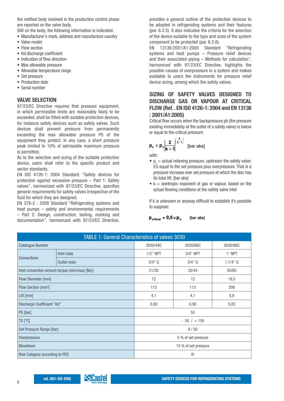the notified body involved in the production control phase are reported on the valve body.

Still on the body, the following information is indicated:

- Manufacturer's mark, address and manufacture country
- Valve model
- Flow section
- • Kd discharge coefficient
- Indication of flow direction
- Max allowable pressure
- Allowable temperature range
- Set pressure
- Production date
- • Serial number

### **VALVE SELECTION**

97/23/EC Directive requires that pressure equipment, in which permissible limits are reasonably likely to be exceeded, shall be fitted with suitable protection devices, for instance safety devices such as safety valves. Such devices shall prevent pressure from permanently exceeding the max allowable pressure PS of the equipment they protect. In any case, a short pressure peak limited to 10% of admissible maximum pressure is permitted.

As to the selection and sizing of the suitable protection device, users shall refer to the specific product and sector standards.

EN ISO 4126-1: 2004 Standard: "Safety devices for protection against excessive pressure – Part 1: Safety valves", harmonized with 97/23/EC Directive, specifies general requirements for safety valves irrespective of the fluid for which they are designed.

EN 378-2 : 2008 Standard "Refrigerating systems and heat pumps – safety and environmental requirements – Part 2: Design, construction, testing, marking and documentation", harmonized with 97/23/EC Directive,

provides a general outline of the protection devices to be adopted in refrigerating systems and their features (par. 6.2.5). It also indicates the criteria for the selection of the device suitable to the type and sizes of the system component to be protected (par. 6.2.6).

EN 13136:2001/A1:2005 Standard "Refrigerating systems and heat pumps – Pressure relief devices and their associated piping – Methods for calculation", harmonized with 97/23/EC Directive, highlights the possible causes of overpressure in a system and makes available to users the instruments for pressure relief device sizing, among which the safety valves.

### **SIZING OF SAFETY VALVES DESIGNED TO DISCHARGE GAS OR VAPOUR AT CRITICAL FLOW (Ref. . EN ISO 4126-1: 2004 and EN 13136 : 2001/A1:2005)**

Critical flow occurs when the backpressure pb (the pressure existing immediately at the outlet of a safety valve) is below or equal to the critical pressure:

$$
p_b \leq p_o \frac{2}{k+1}^{\left(\frac{k}{k-1}\right)} \quad \text{[bar abs]}
$$

with:

- $p_{o}$  = actual relieving pressure, upstream the safety valve; it's equal to the set pressure plus overpressure. That is a pressure increase over set pressure at which the disc has its total lift. [bar abs]
- $k =$  isentropic exponent of gas or vapour, based on the actual flowing conditions at the safety valve inlet

If k is unknown or anyway difficult to establish it's possible to suppose:

#### $p_{critical} = 0.5 \times p_{\alpha}$ [bar abs]

| TABLE 1: General Characteristics of valves 3030 |                                               |                      |                     |             |  |  |  |  |  |
|-------------------------------------------------|-----------------------------------------------|----------------------|---------------------|-------------|--|--|--|--|--|
| <b>Catalogue Number</b>                         |                                               | 3030/44C             | 3030/66C            | 3030/88C    |  |  |  |  |  |
|                                                 | Inlet male                                    | $1/2$ " NPT          | 3/4" NPT            | 1" NPT      |  |  |  |  |  |
| Connections                                     | Outlet male                                   | $3/4"$ G             | $3/4$ " G           | $1.1/4$ " G |  |  |  |  |  |
|                                                 | Inlet connection wrench torque (min/max) [Nm] | 21/30                | 32/45               | 50/65       |  |  |  |  |  |
| <b>Flow Diameter [mm]</b>                       |                                               | 12                   | 12                  | 19,5        |  |  |  |  |  |
| Flow Section [mm <sup>2</sup> ]                 |                                               | 113                  | 113                 | 298         |  |  |  |  |  |
| Lift [mm]                                       |                                               | 4,1                  | 4,1                 | 6,8         |  |  |  |  |  |
| Discharge Coefficient "Kd"                      |                                               | 0,90                 | 0,90                | 0,83        |  |  |  |  |  |
| PS [bar]                                        |                                               |                      | 55                  |             |  |  |  |  |  |
| TS [°C]                                         |                                               | $-50/1+150$          |                     |             |  |  |  |  |  |
| Set Pressure Range [bar]                        |                                               |                      | 8/50                |             |  |  |  |  |  |
| Overpressure                                    |                                               |                      | 5 % of set pressure |             |  |  |  |  |  |
| Blowdown                                        |                                               | 15 % of set pressure |                     |             |  |  |  |  |  |
| <b>Risk Category according to PED</b>           |                                               |                      | IV                  |             |  |  |  |  |  |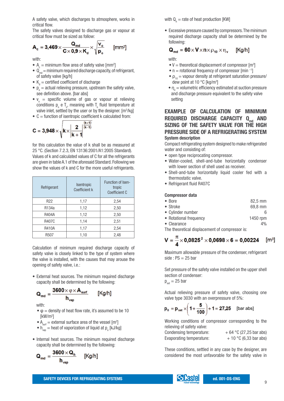A safety valve, which discharges to atmosphere, works in critical flow.

The safety valves designed to discharge gas or vapour at critical flow must be sized as follow:

$$
\mathbf{A}_{\rm c} = 3,469 \times \frac{\mathbf{Q}_{\rm md}}{\mathbf{C} \times 0.9 \times \mathbf{K}_{\rm d}} \times \sqrt{\frac{\mathbf{v}_{\rm o}}{\mathbf{p}_{\rm o}}} \qquad \text{[mm$^2$]}
$$

with:

- $A_c$  = minimum flow area of safety valve [mm<sup>2</sup>]
- $\bullet$   $\mathbb{Q}_{\mathbb{Z}}$  = minimum required discharge capacity, of refrigerant, of safety valve [kg/h]
- $K_d$  = certified coefficient of discharge
- $p_{o}$  = actual relieving pressure, upstream the safety valve, see definition above. [bar abs]
- $v_0$  = specific volume of gas or vapour at relieving conditions  $p_{o}$  e  $T_{o}$ , meaning with  $T_{o}$  fluid temperature at valve inlet, settled by the user or by the designer. [m<sup>3</sup>/kg]
- $\bullet$  C = function of isentropic coefficient k calculated from:

$$
C=3{,}948\times\sqrt{k\times\left|\frac{2}{k+1}\right|^{\frac{(k+1)}{(k-1)}}}
$$

for this calculation the value of k shall be as measured at 25 °C. (Section 7.2.3, EN 13136:2001/A1:2005 Standard). Values of k and calculated values of C for all the refrigerants are given in table A.1 of the aforesaid Standard. Following we show the values of k and C for the more useful refrigerants.

| Refrigerant        | <b>Isentropic</b><br>Coefficient k | Function of Isen-<br>tropic<br>Coefficient C |
|--------------------|------------------------------------|----------------------------------------------|
| R <sub>22</sub>    | 1,17                               | 2,54                                         |
| R <sub>134</sub> a | 1,12                               | 2,50                                         |
| <b>R404A</b>       | 1,12                               | 2,50                                         |
| R407C              | 1,14                               | 2,51                                         |
| <b>R410A</b>       | 1,17                               | 2,54                                         |
| R <sub>507</sub>   | 1,10                               | 2,48                                         |

Calculation of minimum required discharge capacity of safety valve is closely linked to the type of system where the valve is installed, with the causes that may arouse the opening of safety valve, i.e.:

• External heat sources. The minimum required discharge capacity shall be determined by the following:

$$
Q_{\text{md}} = \frac{3600 \times \varphi \times A_{\text{surf}}}{h_{\text{van}}} \qquad [\text{Kg/h}]
$$

with:

- $\bullet$   $\phi$  = density of heat flow rate, it's assumed to be 10 [kW/m2 ]
- $\bullet$  A<sub>surf</sub> = external surface area of the vessel [m<sup>2</sup>]
- $\bullet$  h<sub>vap</sub> = heat of vaporization of liquid at p<sub>o</sub> [kJ/kg]
- Internal heat sources. The minimum required discharge capacity shall be determined by the following:

$$
\mathbf{Q}_{\mathsf{md}} = \frac{3600 \times \mathbf{Q}_{\mathsf{h}}}{\mathsf{h}_{\mathsf{vap}}} \qquad [\text{Kg/h}]
$$

with  $Q_h$  = rate of heat production [KW]

• Excessive pressure caused by compressors. The minimum required discharge capacity shall be determined by the following:

$$
\mathbf{Q}_{\mathsf{md}} = \mathbf{60} \times \mathbf{V} \times \mathbf{n} \times \rho_{\mathsf{10}} \times \mathbf{n}_{\mathsf{v}} \qquad [\text{Kg/h}]
$$

with:

- $V =$  theoretical displacement of compressor  $[m^3]$ 
	- $n =$  rotational frequency of compressor  $\lceil \text{min}^{-1} \rceil$
- $\rho_{10}$  = vapour density at refrigerant saturation pressure/ dew point at 10 °C [kg/m3 ]
- $\bullet$   $n_{v}$  = volumetric efficiency estimated at suction pressure and discharge pressure equivalent to the safety valve setting

### **EXAMPLE OF CALCULATION OF MINIMUM REQUIRED DISCHARGE CAPACITY Q<sub>md</sub> AND SIZING OF THE SAFETY VALVE FOR THE HIGH PRESSURE SIDE OF A REFRIGERATING SYSTEM System description**

Compact refrigerating system designed to make refrigerated water and consisting of:

- open type reciprocating compressor.
- Water-cooled, shell-and-tube horizontally condenser with lower section of shell used as receiver.
- • Shell-and-tube horizontally liquid cooler fed with a thermostatic valve.
- • Refrigerant fluid R407C

#### **Compressor data**

| • Bore                                         | 82,5 mm  |
|------------------------------------------------|----------|
| $\bullet$ Stroke                               | 69,8 mm  |
| • Cylinder number                              | 6.       |
| • Rotational frequency                         | 1450 rpm |
| • Clearance                                    | 4%       |
| The theoretical diantecoment of compressor is: |          |

The theoretical displacement of compressor is:

$$
V = \frac{\pi}{4} \times 0,0825^2 \times 0,0698 \times 6 = 0,00224 \quad [m^3]
$$

Maximum allowable pressure of the condenser, refrigerant  $side : PS = 25 bar$ 

Set pressure of the safety valve installed on the upper shell section of condenser:

 $p_{\text{set}} = 25$  bar

Actual relieving pressure of safety valve, choosing one valve type 3030 with an overpressure of 5%:

$$
p_0 = p_{\text{set}} \times \left(1 + \frac{5}{100}\right) + 1 = 27,25 \quad \text{[bar abs]}
$$

Working conditions of compressor corresponding to the relieving of safety valve:

| Condensing temperature:  | $+64$ °C (27,25 bar abs) |
|--------------------------|--------------------------|
| Evaporating temperature: | + 10 °C (6,33 bar abs)   |

These conditions, settled in any case by the designer, are considered the most unfavorable for the safety valve in

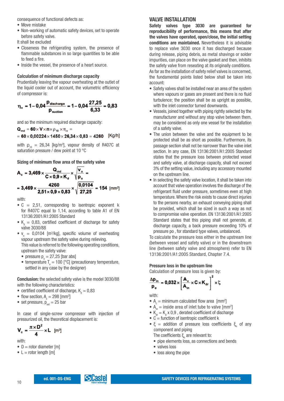consequence of functional defects as:

- Move mistake
- Non-working of automatic safety devices, set to operate before safety valve.
- It shall be excluded
- Closeness the refrigerating system, the presence of flammable substances in so large quantities to be able to feed a fire.
- Inside the vessel, the presence of a heart source.

#### **Calculation of minimum discharge capacity**

Prudentially leaving the vapour overheating at the outlet of the liquid cooler out of account, the volumetric efficiency of compressor is:

$$
\eta_{\rm v} = 1 - 0.04 \frac{\mathsf{p}_{\rm discharge}}{\mathsf{p}_{\rm suchon}} = 1 - 0.04 \frac{27,25}{6,33} = 0.83
$$

and so the minimum required discharge capacity:

$$
Q_{\text{md}} = 60 \times V \times n \times \rho_{10} \times \eta_{v} =
$$
  
= 60 × 0.00224 × 1450 × 26.34 × 0.83 = 4260 [Kg/h]

with  $\rho_{10} = 26,34$  [kg/m<sup>3</sup>], vapour density of R407C at saturation pressure / dew point at 10 °C

#### **Sizing of minimum flow area of the safety valve**

$$
A_c = 3,469 \times \frac{Q_{\text{md}}}{C \times 0.9 \times K_d} \times \sqrt{\frac{v_c}{p_c}} =
$$
  
= 3,469 \times \frac{4260}{2,51 \times 0.9 \times 0.83} \times \sqrt{\frac{0.0104}{27,25}} = 154 \text{ [mm}^2]

with:

- $\bullet$  C = 2,51, corresponding to isentropic exponent k for R407C equal to 1,14, according to table A1 of EN 13136:2001/A1:2005 Standard
- $\bullet$  K<sub>d</sub> = 0,83, certified coefficient of discharge for safety valve 3030/88
- $v_0 = 0.0104$  [m<sup>3</sup>/kg], specific volume of overheating vapour upstream the safety valve during relieving. This value is referred to the following operating conditions, upstream the safety valve:
	- pressure  $p_0 = 27,25$  [bar abs]
	- temperature  $T_0 = 100$  [°C] (precautionary temperature, settled in any case by the designer)

**Conclusion:** the selected safety valve is the model 3030/88 with the following characteristics:

- certified coefficient of discharge,  $K_d = 0.83$
- flow section,  $A_c = 298$  [mm<sup>2</sup>]
- set pressure,  $p_{\text{est}} = 25$  bar

In case of single-screw compressor with injection of pressurized oil, the theoretical displacement is:

$$
V_{c} = \frac{\pi \times D^{2}}{4} \times L \quad [m^{3}]
$$

with:

- $D =$  rotor diameter  $[m]$
- $\bullet$  L = rotor length [m]

### **VALVE INSTALLATION**

**Safety valves type 3030 are guaranteed for reproducibility of performance, this means that after the valves have operated, open/close, the initial setting conditions are maintained.** Nevertheless it is advisable to replace valve 3030 once it has discharged because during release, piping debris, as metal shavings or solder impurities, can place on the valve gasket and then, inhibits the safety valve from reseating at its originally conditions. As far as the installation of safety relief valves is concerned, the fundamental points listed below shall be taken into account:

- Safety valves shall be installed near an area of the system where vapours or gases are present and there is no fluid turbulence; the position shall be as upright as possible, with the inlet connector turned downwards.
- • Vessels, joined together with piping rightly selected by the manufacturer and without any stop valve between them, may be considered as only one vessel for the installation of a safety valve.
- The union between the valve and the equipment to be protected shall be as short as possible. Furthermore, its passage section shall not be narrower than the valve inlet section. In any case, EN 13136:2001/A1:2005 Standard states that the pressure loss between protected vessel and safety valve, at discharge capacity, shall not exceed 3% of the setting value, including any accessory mounted on the upstream line.
- In selecting the safety valve location, it shall be taken into account that valve operation involves the discharge of the refrigerant fluid under pressure, sometimes even at high temperature. Where the risk exists to cause direct injuries to the persons nearby, an exhaust conveying piping shall be provided, which shall be sized in such a way as not to compromise valve operation. EN 13136:2001/A1:2005 Standard states that this piping shall not generate, at discharge capacity, a back pressure exceeding 10% of pressure po , for standard type valves, unbalanced.

To calculate the pressure loss either in the upstream line (between vessel and safety valve) or in the downstream line (between safety valve and atmosphere) refer to EN 13136:2001/A1:2005 Standard, Chapter 7.4.

#### **Pressure loss in the upstream line**

Calculation of pressure loss is given by:

$$
\frac{\Delta \mathbf{p}_{in}}{\mathbf{p}_{o}} = 0.032 \times \left[\frac{\mathbf{A}_{c}}{\mathbf{A}_{in}} \times \mathbf{C} \times \mathbf{K}_{dr}\right]^{2} \times \zeta
$$

with:

- $A_c$  = minimum calculated flow area [mm<sup>2</sup>]
- $A_{in}$  = inside area of inlet tube to valve [mm<sup>2</sup>]
- $K_{dr} = K_d \times 0.9$ , derated coefficient of discharge
- $\bullet$  C = function of isentropic coefficient k
- $\xi$  = addition of pressure loss coefficients  $\xi_n$  of any component and piping
	- The coefficients  $\xi_{n}$  are relevant to: • pipe elements loss, as connections and bends
	- valves loss
	- loss along the pipe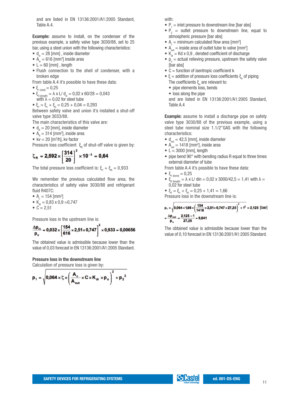and are listed in EN 13136:2001/A1:2005 Standard, Table A.4.

**Example:** assume to install, on the condenser of the previous example, a safety valve type 3030/88, set to 25 bar, using a steel union with the following characteristics:

- $d_{in} = 28$  [mm], inside diameter
- $A_{in} = 616$  [mm<sup>2</sup>] inside area
- $\bullet$  L = 60 [mm], length
- • Flush connection to the shell of condenser, with a broken edge

From table A.4 it's possible to have these data:

- $\xi_1$  (inlet) = 0,25
- $\xi_2$  (length) =  $\lambda$  x L/ d<sub>in</sub> = 0,02 x 60/28 = 0,043 with  $\lambda = 0.02$  for steel tube

•  $\xi_{\text{T}} = \xi_1 + \xi_2 = 0.25 + 0.04 = 0.293$ 

Between safety valve and union it's installed a shut-off valve type 3033/88.

The main characteristics of this valve are:

- $d_R = 20$  [mm], inside diameter
- $A_R$  = 314 [mm<sup>2</sup>], inside area
- $kv = 20$  [m<sup>3</sup>/h], kv factor

Pressure loss coefficient  $\, \xi_{_{\rm R}} \,$ of shut-off valve is given by:

$$
\zeta_{\rm R} = 2{,}592 \times \left[\frac{314}{20}\right]^2 \times 10^{-3} = 0{,}64
$$

The total pressure loss coefficient is:  $\xi_{_{\rm T}} + \xi_{_{\rm R}} = 0{,}933$ 

We remember the previous calculated flow area, the characteristics of safety valve 3030/88 and refrigerant fluid R407C:

- $A_c = 154$  [mm<sup>2</sup>]
- $K_{dr} = 0.83 \times 0.9 = 0.747$
- $C = 2,51$

Pressure loss in the upstream line is:

$$
\frac{\Delta p_{\rm in}}{p_{\rm o}} = 0.032 \times \left[\frac{154}{616} \times 2.51 \times 0.747\right]^2 \times 0.933 = 0.00656
$$

The obtained value is admissible because lower than the value of 0,03 forecast in EN 13136:2001/A1:2005 Standard.

#### **Pressure loss in the downstream line**

Calculation of pressure loss is given by:

$$
\boldsymbol{p}_1 = \sqrt{0.064 \times \zeta \times \left(\frac{\boldsymbol{A}_c}{\boldsymbol{A}_{out}} \times \boldsymbol{C} \times \boldsymbol{K}_{dr} \times \boldsymbol{p}_o\right)^2 + {p_2}^2}
$$

with:

- $P_1$  = inlet pressure to downstream line [bar abs]
- $\bullet$  P<sub>2</sub> = outlet pressure to downstream line, equal to atmospheric pressure [bar abs]
- $A_c$  = minimum calculated flow area [mm<sup>2</sup>]
- $A_{\text{out}} =$  inside area of outlet tube to valve [mm<sup>2</sup>]
- $K_{dr} = Kd \times 0.9$ , derated coefficient of discharge
- $p_{o}$  = actual relieving pressure, upstream the safety valve [bar abs]
- $\bullet$  C = function of isentropic coefficient k
- $\bullet \xi$  = addition of pressure loss coefficients  $\xi_n$  of piping The coefficients  $\xi_{n}$  are relevant to:
	- pipe elements loss, bends
	- loss along the pipe
	- and are listed in EN 13136:2001/A1:2005 Standard, Table A.4

**Example:** assume to install a discharge pipe on safety valve type 3030/88 of the previous example, using a steel tube nominal size 1.1/2"GAS with the following characteristics:

- $d_{\text{out}} = 42.5$  [mm], inside diameter
- $A<sub>out</sub> = 1418$  [mm<sup>2</sup>], inside area
- $\bullet$  L = 3000 [mm], length
- pipe bend 90° with bending radius R equal to three times external diameter of tube

From table A.4 it's possible to have these data:

- $\xi_1_{(bend)} = 0,25$
- $\xi_{2 \text{ (length)}} = \lambda \times L/ \text{ din} = 0.02 \times 3000/42, 5 = 1.41 \text{ with } \lambda =$ 0,02 for steel tube

• 
$$
\xi_{T} = \xi_{1} + \xi_{2} = 0.25 + 1.41 = 1.66
$$

Pressure loss in the downstream line is:

$$
p_1 = \sqrt{0.064 \times 1.66 \times \left(\frac{154}{1418} \times 2.51 \times 0.747 \times 27.25\right)^2 + 1^2} = 2.125
$$
 [bar]  
=  $\frac{\Delta p_{\text{out}}}{p_{\text{o}}} = \frac{2.125 - 1}{27.25} = 0.041$ 

The obtained value is admissible because lower than the value of 0,10 forecast in EN 13136:2001/A1:2005 Standard.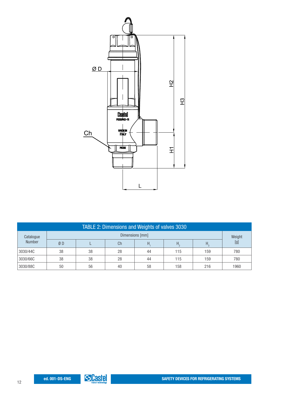

| TABLE 2: Dimensions and Weights of valves 3030 |                 |    |    |    |     |             |      |  |  |  |  |
|------------------------------------------------|-----------------|----|----|----|-----|-------------|------|--|--|--|--|
| Catalogue                                      | Dimensions [mm] |    |    |    |     |             |      |  |  |  |  |
| Number                                         | ØD              |    | Ch |    | Η.  | $H_{\circ}$ | [g]  |  |  |  |  |
| 3030/44C                                       | 38              | 38 | 28 | 44 | 115 | 159         | 780  |  |  |  |  |
| 3030/66C                                       | 38              | 38 | 28 | 44 | 115 | 159         | 780  |  |  |  |  |
| 3030/88C                                       | 50              | 56 | 40 | 58 | 158 | 216         | 1960 |  |  |  |  |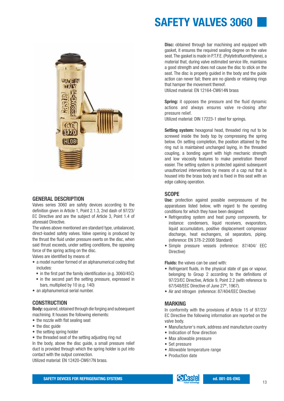

### **GENERAL DESCRIPTION**

Valves series 3060 are safety devices according to the definition given in Article 1, Point 2.1.3, 2nd dash of 97/23/ EC Directive and are the subject of Article 3, Point 1.4 of aforesaid Directive.

The valves above mentioned are standard type, unbalanced, direct-loaded safety valves. Valve opening is produced by the thrust the fluid under pressure exerts on the disc, when said thrust exceeds, under setting conditions, the opposing force of the spring acting on the disc.

Valves are identified by means of:

- a model number formed of an alphanumerical coding that includes:
	- in the first part the family identification (e.g. 3060/45C)
	- in the second part the setting pressure, expressed in bars, multiplied by 10 (e.g. 140)
- an alphanumerical serial number.

### **CONSTRUCTION**

**Body:** squared, obtained through die forging and subsequent machining. It houses the following elements:

- the nozzle with flat sealing seat
- the disc quide
- the setting spring holder
- the threaded seat of the setting adjusting ring nut

In the body, above the disc guide, a small pressure relief duct is provided through which the spring holder is put into contact with the output connection.

Utilized material: EN 12420-CW617N brass.

### **SAFETY VALVES 3060**

**Disc:** obtained through bar machining and equipped with gasket, it ensures the required sealing degree on the valve seat. The gasket is made in P.T.F.E. (Polytetrafluorethylene), a material that, during valve estimated service life, maintains a good strength and does not cause the disc to stick on the seat. The disc is properly guided in the body and the guide action can never fail; there are no glands or retaining rings that hamper the movement thereof.

Utilized material: EN 12164-CW614N brass

**Spring:** it opposes the pressure and the fluid dynamic actions and always ensures valve re-closing after pressure relief.

Utilized material: DIN 17223-1 steel for springs.

**Setting system:** hexagonal head, threaded ring nut to be screwed inside the body top by compressing the spring below. On setting completion, the position attained by the ring nut is maintained unchanged laying, in the threaded coupling, a bonding agent with high mechanic strength and low viscosity features to make penetration thereof easier. The setting system is protected against subsequent unauthorized interventions by means of a cap nut that is housed into the brass body and is fixed in this seat with an edge calking operation.

#### **SCOPE**

**Use:** protection against possible overpressures of the apparatuses listed below, with regard to the operating conditions for which they have been designed:

- Refrigerating system and heat pump components, for instance: condensers, liquid receivers, evaporators, liquid accumulators, positive displacement compressor discharge, heat exchangers, oil separators, piping. (reference: EN 378-2:2008 Standard)
- Simple pressure vessels (reference: 87/404/ EEC Directive)

**Fluids:** the valves can be used with:

- Refrigerant fluids, in the physical state of gas or vapour, belonging to Group 2 according to the definitions of 97/23/EC Directive, Article 9, Point 2.2 (with reference to 67/548/EEC Directive of June 27th, 1967).
- Air and nitrogen (reference: 87/404/EEC Directive)

### **MARKING**

In conformity with the provisions of Article 15 of 97/23/ EC Directive the following information are reported on the valve body.

- Manufacturer's mark, address and manufacture country
- Indication of flow direction
- Max allowable pressure
- • Set pressure
- Allowable temperature range
- Production date

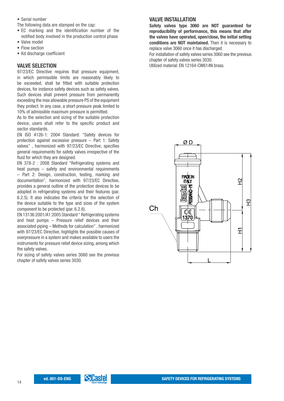• Serial number

The following data are stamped on the cap:

- EC marking and the identification number of the notified body involved in the production control phase
- • Valve model
- Flow section
- Kd discharge coefficient

### **VALVE SELECTION**

97/23/EC Directive requires that pressure equipment, in which permissible limits are reasonably likely to be exceeded, shall be fitted with suitable protection devices, for instance safety devices such as safety valves. Such devices shall prevent pressure from permanently exceeding the max allowable pressure PS of the equipment they protect. In any case, a short pressure peak limited to 10% of admissible maximum pressure is permitted.

As to the selection and sizing of the suitable protection device, users shall refer to the specific product and sector standards.

EN ISO 4126-1: 2004 Standard: "Safety devices for protection against excessive pressure – Part 1: Safety valves" , harmonized with 97/23/EC Directive, specifies general requirements for safety valves irrespective of the fluid for which they are designed.

EN 378-2 : 2008 Standard "Refrigerating systems and heat pumps – safety and environmental requirements – Part 2: Design, construction, testing, marking and documentation", harmonized with 97/23/EC Directive, provides a general outline of the protection devices to be adopted in refrigerating systems and their features (par. 6.2.5). It also indicates the criteria for the selection of the device suitable to the type and sizes of the system component to be protected (par. 6.2.6).

EN 13136:2001/A1:2005 Standard " Refrigerating systems and heat pumps – Pressure relief devices and their associated piping – Methods for calculation" , harmonized with 97/23/EC Directive, highlights the possible causes of overpressure in a system and makes available to users the instruments for pressure relief device sizing, among which the safety valves.

For sizing of safety valves series 3060 see the previous chapter of safety valves series 3030.

### **VALVE INSTALLATION**

**Safety valves type 3060 are NOT guaranteed for reproducibility of performance, this means that after the valves have operated, open/close, the initial setting conditions are NOT maintained.** Then it is necessary to replace valve 3060 once it has discharged.

For installation of safety valves series 3060 see the previous chapter of safety valves series 3030.

Utilized material: EN 12164-CW614N brass.

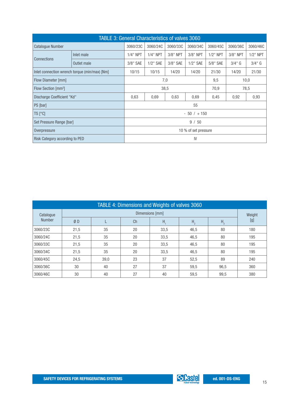|                                               | <b>TABLE 3: General Characteristics of valves 3060</b> |                      |             |          |          |             |           |             |  |  |
|-----------------------------------------------|--------------------------------------------------------|----------------------|-------------|----------|----------|-------------|-----------|-------------|--|--|
| <b>Catalogue Number</b>                       |                                                        | 3060/23C             | 3060/24C    | 3060/33C | 3060/34C | 3060/45C    | 3060/36C  | 3060/46C    |  |  |
| Connections                                   | Inlet male                                             | $1/4$ " NPT          | $1/4$ " NPT | 3/8" NPT | 3/8" NPT | $1/2$ " NPT | 3/8" NPT  | $1/2$ " NPT |  |  |
|                                               | Outlet male                                            | 3/8" SAE             | $1/2$ " SAE | 3/8" SAE | 1/2" SAE | 5/8" SAE    | $3/4$ " G | $3/4$ " G   |  |  |
| Inlet connection wrench torque (min/max) [Nm] | 10/15                                                  | 10/15                | 14/20       | 14/20    | 21/30    | 14/20       | 21/30     |             |  |  |
| Flow Diameter [mm]                            |                                                        |                      |             | 7,0      |          | 9,5         | 10,0      |             |  |  |
| Flow Section [mm <sup>2</sup> ]               |                                                        |                      |             | 38,5     | 70,9     | 78,5        |           |             |  |  |
| Discharge Coefficient "Kd"                    |                                                        | 0,63                 | 0,69        | 0,63     | 0.69     | 0,45        | 0,92      | 0,93        |  |  |
| <b>PS</b> [bar]                               |                                                        | 55                   |             |          |          |             |           |             |  |  |
| $TS$ [ $^{\circ}C$ ]                          |                                                        | $-50/ + 150$         |             |          |          |             |           |             |  |  |
| Set Pressure Range [bar]                      |                                                        | 50<br>9/             |             |          |          |             |           |             |  |  |
| Overpressure                                  |                                                        | 10 % of set pressure |             |          |          |             |           |             |  |  |
| Risk Category according to PED                |                                                        |                      | IV          |          |          |             |           |             |  |  |

| <b>TABLE 4: Dimensions and Weights of valves 3060</b> |      |        |    |      |                |       |     |  |  |  |
|-------------------------------------------------------|------|--------|----|------|----------------|-------|-----|--|--|--|
| Catalogue<br><b>Number</b>                            |      | Weight |    |      |                |       |     |  |  |  |
|                                                       | ØD   |        | Ch | Η.   | H <sub>2</sub> | $H_3$ | [g] |  |  |  |
| 3060/23C                                              | 21,5 | 35     | 20 | 33,5 | 46,5           | 80    | 180 |  |  |  |
| 3060/24C                                              | 21,5 | 35     | 20 | 33,5 | 46,5           | 80    | 195 |  |  |  |
| 3060/33C                                              | 21,5 | 35     | 20 | 33,5 | 46,5           | 80    | 195 |  |  |  |
| 3060/34C                                              | 21,5 | 35     | 20 | 33,5 | 46,5           | 80    | 195 |  |  |  |
| 3060/45C                                              | 24,5 | 39,0   | 23 | 37   | 52,5           | 89    | 240 |  |  |  |
| 3060/36C                                              | 30   | 40     | 27 | 37   | 59,5           | 96,5  | 360 |  |  |  |
| 3060/46C                                              | 30   | 40     | 27 | 40   | 59,5           | 99,5  | 380 |  |  |  |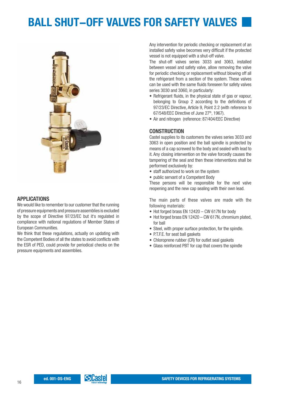### **BALL SHUT−OFF VALVES FOR SAFETY VALVES**



### **APPLICATIONS**

We would like to remember to our customer that the running of pressure equipments and pressure assemblies is excluded by the scope of Directive 97/23/EC but it's regulated in compliance with national regulations of Member States of European Communities.

We think that these regulations, actually on updating with the Competent Bodies of all the states to avoid conflicts with the ESR of PED, could provide for periodical checks on the pressure equipments and assemblies.

Any intervention for periodic checking or replacement of an installed safety valve becomes very difficult if the protected vessel is not equipped with a shut-off valve.

The shut-off valves series 3033 and 3063, installed between vessel and safety valve, allow removing the valve for periodic checking or replacement without blowing off all the refrigerant from a section of the system. These valves can be used with the same fluids foreseen for safety valves series 3030 and 3060, in particularly:

- Refrigerant fluids, in the physical state of gas or vapour, belonging to Group 2 according to the definitions of 97/23/EC Directive, Article 9, Point 2.2 (with reference to 67/548/EEC Directive of June 27<sup>th</sup>, 1967).
- Air and nitrogen (reference: 87/404/EEC Directive)

### **CONSTRUCTION**

Castel supplies to its customers the valves series 3033 and 3063 in open position and the ball spindle is protected by means of a cap screwed to the body and sealed with lead to it. Any closing intervention on the valve forcedly causes the tampering of the seal and then these interventions shall be performed exclusively by:

- staff authorized to work on the system
- public servant of a Competent Body

These persons will be responsible for the next valve reopening and the new cap sealing with their own lead.

The main parts of these valves are made with the following materials:

- Hot forged brass EN 12420 CW 617N for body
- Hot forged brass EN 12420 CW 617N, chromium plated, for ball
- Steel, with proper surface protection, for the spindle.
- P.T.F.E. for seat ball gaskets
- Chloroprene rubber (CR) for outlet seal gaskets
- Glass reinforced PBT for cap that covers the spindle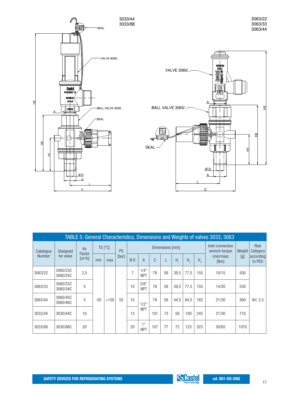



3063/22

3063/33

3063/44

|                            | TABLE 5: General Characteristics, Dimensions and Weights of valves 3033, 3063 |                                              |       |                      |           |          |                    |            |     |    |      |      |                                   |                    |                         |          |                |      |      |       |                |                |                   |
|----------------------------|-------------------------------------------------------------------------------|----------------------------------------------|-------|----------------------|-----------|----------|--------------------|------------|-----|----|------|------|-----------------------------------|--------------------|-------------------------|----------|----------------|------|------|-------|----------------|----------------|-------------------|
| Catalogue<br><b>Number</b> | <b>Designed</b>                                                               | Kv<br>Factor<br>$\left[\frac{m^3}{h}\right]$ |       | $TS$ [ $^{\circ}C$ ] | <b>PS</b> |          | Dimensions [mm]    |            |     |    |      |      | Inlet connection<br>wrench torque | Weight             | <b>Risk</b><br>Category |          |                |      |      |       |                |                |                   |
|                            | for valve                                                                     |                                              |       |                      |           |          |                    |            |     |    |      |      | min                               | max                | [bar]                   | ØD       | $\overline{A}$ | C    |      | H,    | H <sub>2</sub> | H <sub>3</sub> | (min/max)<br>[Nm] |
| 3063/22                    | 3060/23C<br>3060/24C                                                          | 2,5                                          |       |                      |           |          |                    |            |     |    |      |      | $\overline{7}$                    | 1/4"<br><b>NPT</b> | 78                      | 58       | 39,5           | 77.5 | 155  | 10/15 | 500            |                |                   |
| 3063/33                    | 3060/33C<br>3060/34C                                                          | 5                                            |       |                      |           |          |                    |            |     |    |      |      |                                   | 10                 | 3/8"<br><b>NPT</b>      | 78       | 58             | 39,5 | 77.5 | 155   | 14/20          | 530            |                   |
| 3063/44                    | 3060/45C<br>3060/46C                                                          | 5                                            | $-50$ | $+150$               | 55        | 10<br>13 |                    | $1/2$ "    | 78  | 58 | 44,5 | 84,5 | 162                               | 21/30              | 560                     | Art. 3.3 |                |      |      |       |                |                |                   |
| 3033/44                    | 3030/44C                                                                      | 10                                           |       |                      |           |          |                    | <b>NPT</b> | 101 | 73 | 59   | 100  | 245                               | 21/30              | 710                     |          |                |      |      |       |                |                |                   |
| 3033/88                    | 3030/88C                                                                      | 20                                           |       |                      |           | 20       | $-1$<br><b>NPT</b> | 107        | 77  | 72 | 123  | 323  | 50/65                             | 1070               |                         |          |                |      |      |       |                |                |                   |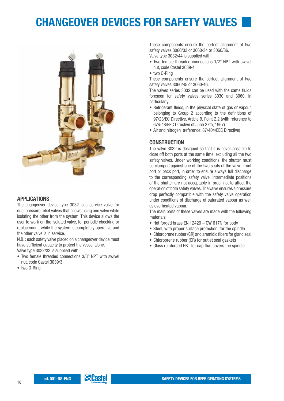### **CHANGEOVER DEVICES FOR SAFETY VALVES**



### **APPLICATIONS**

The changeover device type 3032 is a service valve for dual pressure relief valves that allows using one valve while isolating the other from the system. This device allows the user to work on the isolated valve, for periodic checking or replacement, while the system is completely operative and the other valve is in service.

N.B. : each safety valve placed on a changeover device must have sufficient capacity to protect the vessel alone. Valve type 3032/33 is supplied with:

- Two female threaded connections 3/8" NPT with swivel nut, code Castel 3039/3
- two 0-Ring

These components ensure the perfect alignment of two safety valves 3060/33 or 3060/34 or 3060/36.

- Valve type 3032/44 is supplied with:
- Two female threaded connections 1/2" NPT with swivel nut, code Castel 3039/4
- two 0-Ring

These components ensure the perfect alignment of two safety valves 3060/45 or 3060/46.

The valves series 3032 can be used with the same fluids foreseen for safety valves series 3030 and 3060, in particularly:

- Refrigerant fluids, in the physical state of gas or vapour, belonging to Group 2 according to the definitions of 97/23/EC Directive, Article 9, Point 2.2 (with reference to 67/548/EEC Directive of June 27th, 1967).
- Air and nitrogen (reference: 87/404/EEC Directive)

### **CONSTRUCTION**

The valve 3032 is designed so that it is never possible to close off both ports at the same time, excluding all the two safety valves. Under working conditions, the shutter must be clamped against one of the two seats of the valve, front port or back port, in order to ensure always full discharge to the corresponding safety valve. Intermediate positions of the shutter are not acceptable in order not to affect the operation of both safety valves. The valve ensures a pressure drop perfectly compatible with the safety valve operation under conditions of discharge of saturated vapour as well as overheated vapour.

The main parts of these valves are made with the following materials:

- Hot forged brass EN 12420 CW 617N for body
- Steel, with proper surface protection, for the spindle
- Chloroprene rubber (CR) and aramidic fibers for gland seal
- Chloroprene rubber (CR) for outlet seal gaskets
- Glass reinforced PBT for cap that covers the spindle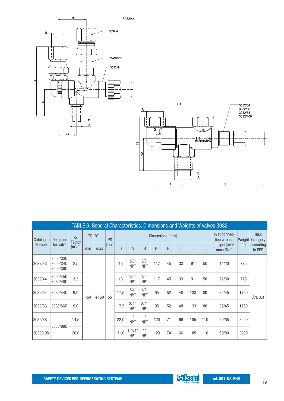

|                            | TABLE 6: General Characteristics, Dimensions and Weights of valves 3032 |                                              |                      |     |           |        |                      |                  |                    |                       |                       |                  |                               |                              |        |                         |       |      |          |      |  |  |  |  |  |      |                    |                    |    |    |    |     |    |       |      |  |
|----------------------------|-------------------------------------------------------------------------|----------------------------------------------|----------------------|-----|-----------|--------|----------------------|------------------|--------------------|-----------------------|-----------------------|------------------|-------------------------------|------------------------------|--------|-------------------------|-------|------|----------|------|--|--|--|--|--|------|--------------------|--------------------|----|----|----|-----|----|-------|------|--|
| Catalogue<br><b>Number</b> | Designed                                                                | Kv<br>Factor<br>$\left[\frac{m^3}{h}\right]$ | $TS$ [ $^{\circ}C$ ] |     | <b>PS</b> |        | Dimensions [mm]      |                  |                    |                       |                       |                  |                               | Inlet connec-<br>tion wrench | Weight | <b>Risk</b><br>Category |       |      |          |      |  |  |  |  |  |      |                    |                    |    |    |    |     |    |       |      |  |
|                            | for valve                                                               |                                              | min                  | max | [bar]     | D      | A                    | B                | H <sub>1</sub>     | H <sub>2</sub>        | L,                    | $L_{2}$          | $L_{3}$                       | torque (min/<br>max[Nm]      | [g]    | according<br>to PED     |       |      |          |      |  |  |  |  |  |      |                    |                    |    |    |    |     |    |       |      |  |
| 3032/33                    | 3060/33C<br>3060/34C<br>3060/36C                                        | 2,5                                          |                      |     |           | $+150$ |                      | 13               | 3/8"<br><b>NPT</b> | 3/8"<br><b>NPT</b>    | 117                   | 45               | 33                            | 91                           | 50     | 14/20                   | 775   |      |          |      |  |  |  |  |  |      |                    |                    |    |    |    |     |    |       |      |  |
| 3032/44                    | 3060/45C<br>3060/46C                                                    | 3,3                                          | $-50$                |     |           |        |                      |                  | 13                 | $1/2$ "<br><b>NPT</b> | 1/2"<br><b>NPT</b>    | 117              | 45                            | 33                           | 91     | 50                      | 21/30 | 775  |          |      |  |  |  |  |  |      |                    |                    |    |    |    |     |    |       |      |  |
| 3032/64                    | 3030/44C                                                                | 9,0                                          |                      |     |           |        |                      | 55               | 17,5               | 3/4"<br><b>NPT</b>    | $1/2$ "<br><b>NPT</b> | 95               | 52                            | 48                           | 133    | 80                      | 32/45 | 1750 | Art. 3.3 |      |  |  |  |  |  |      |                    |                    |    |    |    |     |    |       |      |  |
| 3032/66                    | 3030/66C                                                                | 9,0                                          |                      |     |           |        |                      |                  |                    |                       |                       |                  |                               |                              |        |                         |       |      |          |      |  |  |  |  |  | 17,5 | 3/4"<br><b>NPT</b> | 3/4"<br><b>NPT</b> | 95 | 52 | 48 | 133 | 80 | 32/45 | 1750 |  |
| 3032/88                    | 3030/88C                                                                | 14,5                                         |                      |     |           |        |                      |                  |                    |                       | 22,0                  | 4H<br><b>NPT</b> | 1 <sup>11</sup><br><b>NPT</b> | 120                          | 71     | 66                      | 185   | 110  | 50/65    | 3200 |  |  |  |  |  |      |                    |                    |    |    |    |     |    |       |      |  |
| 3032/108                   |                                                                         | 20,0                                         |                      |     |           | 31,0   | 1.1/4"<br><b>NPT</b> | 1"<br><b>NPT</b> | 123                | 74                    | 66                    | 185              | 110                           | 60/80                        | 3200   |                         |       |      |          |      |  |  |  |  |  |      |                    |                    |    |    |    |     |    |       |      |  |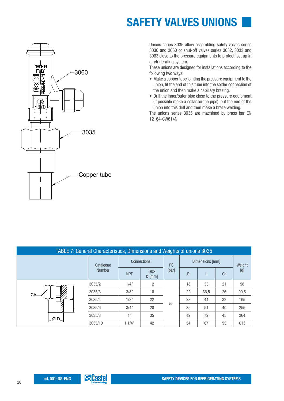# **SAFETY VALVES UNIONS**



Unions series 3035 allow assembling safety valves series 3030 and 3060 or shut-off valves series 3032, 3033 and 3063 close to the pressure equipments to protect, set up in a refrigerating system.

These unions are designed for installations according to the following two ways:

- Make a copper tube jointing the pressure equipment to the union, fit the end of this tube into the solder connection of the union and then make a capillary brazing.
- • Drill the inner/outer pipe close to the pressure equipment (if possible make a collar on the pipe), put the end of the union into this drill and then make a braze welding.

The unions series 3035 are machined by brass bar EN 12164-CW614N

| <b>TABLE 7: General Characteristics, Dimensions and Weights of unions 3035</b> |               |                   |                                     |       |                 |        |           |      |  |
|--------------------------------------------------------------------------------|---------------|-------------------|-------------------------------------|-------|-----------------|--------|-----------|------|--|
|                                                                                | Catalogue     | Connections<br>PS |                                     |       | Dimensions [mm] | Weight |           |      |  |
|                                                                                | <b>Number</b> | <b>NPT</b>        | 0 <sub>DS</sub><br>$\emptyset$ [mm] | [bar] | D               |        | <b>Ch</b> | [g]  |  |
|                                                                                | 3035/2        | 1/4"              | 12                                  |       | 18              | 33     | 21        | 58   |  |
| Ch                                                                             | 3035/3        | 3/8"              | 18                                  |       | 22              | 36,5   | 26        | 90,5 |  |
|                                                                                | 3035/4        | 1/2"              | 22                                  | 55    | 28              | 44     | 32        | 165  |  |
|                                                                                | 3035/6        | 3/4"              | 28                                  |       | 35              | 51     | 40        | 255  |  |
|                                                                                | 3035/8        | 1"                | 35                                  |       | 42              | 72     | 45        | 364  |  |
|                                                                                | 3035/10       | 1.1/4"            | 42                                  |       | 54              | 67     | 55        | 613  |  |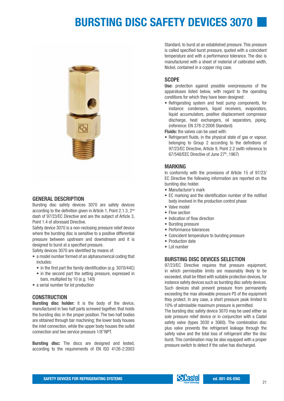### **BURSTING DISC SAFETY DEVICES 3070**



### **GENERAL DESCRIPTION**

Bursting disc safety devices 3070 are safety devices according to the definition given in Article 1, Point 2.1.3, 2<sup>nd</sup> dash of 97/23/EC Directive and are the subject of Article 3, Point 1.4 of aforesaid Directive.

Safety device 3070 is a non-reclosing pressure relief device where the bursting disc is sensitive to a positive differential pressure between upstream and downstream and it is designed to burst at a specified pressure.

Safety devices 3070 are identified by means of:

- a model number formed of an alphanumerical coding that includes:
	- in the first part the family identification (e.g. 3070/44C)
	- in the second part the setting pressure, expressed in bars, multiplied by 10 (e.g. 140)
- a serial number for lot production

### **CONSTRUCTION**

**Bursting disc holder:** it is the body of the device, manufactured in two half parts screwed together, that holds the bursting disc in the proper position. The two half bodies are obtained through bar machining; the lower body houses the inlet connection, while the upper body houses the outlet connection and two service pressure 1/8"NPT.

**Bursting disc:** The discs are designed and tested, according to the requirements of EN ISO 4126-2:2003 Standard, to burst at an established pressure. This pressure is called specified burst pressure, quoted with a coincident temperature and with a performance tolerance. The disc is manufactured with a sheet of material of calibrated width, Nickel, contained in a copper ring case.

### **SCOPE**

**Use:** protection against possible overpressures of the apparatuses listed below, with regard to the operating conditions for which they have been designed:

- Refrigerating system and heat pump components, for instance: condensers, liquid receivers, evaporators, liquid accumulators, positive displacement compressor discharge, heat exchangers, oil separators, piping. (reference: EN 378-2:2008 Standard)
- **Fluids:** the valves can be used with:
- Refrigerant fluids, in the physical state of gas or vapour, belonging to Group 2 according to the definitions of 97/23/EC Directive, Article 9, Point 2.2 (with reference to 67/548/EEC Directive of June 27th, 1967)

### **MARKING**

In conformity with the provisions of Article 15 of 97/23/ EC Directive the following information are reported on the bursting disc holder.

- • Manufacturer's mark
- EC marking and the identification number of the notified body involved in the production control phase
- Valve model
- Flow section
- Indication of flow direction
- Bursting pressure
- • Performance tolerances
- Coincident temperature to bursting pressure
- Production date
- Lot number

### **BURSTING DISC DEVICES SELECTION**

97/23/EC Directive requires that pressure equipment, in which permissible limits are reasonably likely to be exceeded, shall be fitted with suitable protection devices, for instance safety devices such as bursting disc safety devices. Such devices shall prevent pressure from permanently exceeding the max allowable pressure PS of the equipment they protect. In any case, a short pressure peak limited to 10% of admissible maximum pressure is permitted.

The bursting disc safety device 3070 may be used either as sole pressure relief device or in conjunction with a Castel safety valve (types 3030 e 3060). The combination disc plus valve prevents the refrigerant leakage through the safety valve and the total loss of refrigerant after the disc burst. This combination may be also equipped with a proper pressure switch to detect if the valve has discharged.

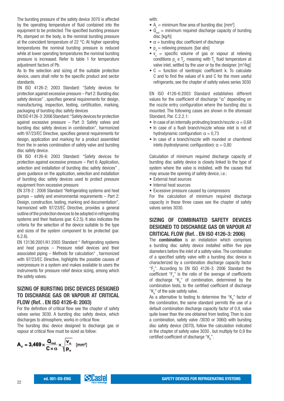The bursting pressure of the safety device 3070 is affected by the operating temperature of fluid contained into the equipment to be protected. The specified bursting pressure Pb, stamped on the body, is the nominal bursting pressure at the coincident temperature of 22 °C: At higher operating temperatures the nominal bursting pressure is reduced while at lower operating temperatures the nominal bursting pressure is increased. Refer to table 1 for temperature adjustment factors of Pb.

As to the selection and sizing of the suitable protection device, users shall refer to the specific product and sector standards.

EN ISO 4126-2: 2003 Standard: "Safety devices for protection against excessive pressure – Part 2: Bursting disc safety devices" , specifies general requirements for design, manufacturing, inspection, testing, certification, marking, packaging of bursting disc safety devices

EN ISO 4126-3: 2006 Standard: "Safety devices for protection against excessive pressure – Part 3: Safety valves and bursting disc safety devices in combination", harmonized with 97/23/EC Directive, specifies general requirements for design, application and marking for a product assembled from the in-series combination of safety valve and bursting disc safety device.

EN ISO 4126-6: 2003 Standard: "Safety devices for protection against excessive pressure – Part 6: Application, selection and installation of bursting disc safety devices" , gives guidance on the application, selection and installation of bursting disc safety devices used to protect pressure equipment from excessive pressure

EN 378-2 : 2008 Standard "Refrigerating systems and heat pumps – safety and environmental requirements – Part 2: Design, construction, testing, marking and documentation", harmonized with 97/23/EC Directive, provides a general outline of the protection devices to be adopted in refrigerating systems and their features (par. 6.2.5). It also indicates the criteria for the selection of the device suitable to the type and sizes of the system component to be protected (par. 6.2.6).

EN 13136:2001/A1:2005 Standard " Refrigerating systems and heat pumps – Pressure relief devices and their associated piping – Methods for calculation" , harmonized with 97/23/EC Directive, highlights the possible causes of overpressure in a system and makes available to users the instruments for pressure relief device sizing, among which the safety valves.

### **SIZING OF BURSTING DISC DEVICES DESIGNED TO DISCHARGE GAS OR VAPOUR AT CRITICAL FLOW (Ref. . EN ISO 4126-6: 2003)**

For the definition of critical flow see the chapter of safety valves series 3030. A bursting disc safety device, which discharges to atmosphere, works in critical flow.

The bursting disc device designed to discharge gas or vapour at critical flow must be sized as follow:

$$
A_c = 3,469 \times \frac{Q_{\text{md}}}{C \times \alpha} \times \sqrt{\frac{V_o}{p_o}}
$$
 [mm<sup>2</sup>]

with:

- $A_c$  = minimum flow area of bursting disc [mm<sup>2</sup>]
- $\dot{Q}_{\text{md}} =$  minimum required discharge capacity of bursting disc [kg/h]
- $\bullet$   $\alpha$  = bursting disc coefficient of discharge
- $p_{o}$  = relieving pressure. [bar abs]
- $v_0$  = specific volume of gas or vapour at relieving conditions  $p_{o}$  e  $T_{o}$ , meaning with  $T_{o}$  fluid temperature at valve inlet, settled by the user or by the designer.  $[m^3/kg]$
- $\bullet$  C = function of isentropic coefficient k. To calculate C and to find the values of k and C for the more useful refrigerants, see the chapter of safety valves series 3030

EN ISO 4126-6:2003 Standard establishes different values for the coefficient of discharge "α" depending on the nozzle entry configuration where the bursting disc is mounted. The following cases are shown in the aforesaid Standard, Par. C.2.2.1:

- In case of an internally protruding branch/nozzle:  $\alpha = 0.68$
- In case of a flush branch/nozzle whose inlet is not of hydrodynamic configuration:  $α = 0.73$
- In case of a branch/nozzle with rounded or chamfered inlets (hydrodynamic configuration):  $\alpha = 0.80$

Calculation of minimum required discharge capacity of bursting disc safety device is closely linked to the type of system where the valve is installed, with the causes that may arouse the opening of safety device, i.e.:

- External heat sources
- • Internal heat sources
- Excessive pressure caused by compressors

For the calculation of minimum required discharge capacity in these three cases see the chapter of safety valves series 3030.

### **SIZING OF COMBINATED SAFETY DEVICES DESIGNED TO DISCHARGE GAS OR VAPOUR AT CRITICAL FLOW (Ref. . EN ISO 4126-3: 2006)**

The **combination** is an installation which comprises a bursting disc safety device installed within five pipe diameters before the inlet of a safety valve. The combination of a specified safety valve with a bursting disc device is characterized by a combination discharge capacity factor " $F_d$ ". According to EN ISO 4126-3: 2006 Standard the coefficient " $F_d$ " is the ratio of the average of coefficients of discharge " $K_d$ " of combination, determined by the combination tests, to the certified coefficient of discharge " $K_d$ " of the sole safety valve.

As a alternative to testing to determine the "K<sub>a</sub>" factor of the combination, the same standard permits the use of a default combination discharge capacity factor of 0,9, value quite lower than the one obtained from testing. Then to size a combination, safety valve /3030 or 3060) with bursting disc safety device (3070), follow the calculation indicated in the chapter of safety valve 3030 , but multiply for 0,9 the certified coefficient of discharge " $K_d$ ".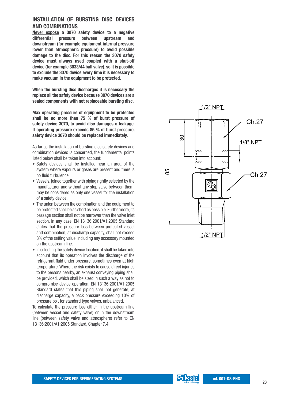### **INSTALLATION OF BURSTING DISC DEVICES AND COMBINATIONS**

**Never expose a 3070 safety device to a negative differential pressure between upstream and downstream (for example equipment internal pressure lower than atmospheric pressure) to avoid possible damage to the disc. For this reason the 3070 safety device must always used coupled with a shut-off device (for example 3033/44 ball valve), so it is possible to exclude the 3070 device every time it is necessary to make vacuum in the equipment to be protected.**

**When the bursting disc discharges it is necessary the replace all the safety device because 3070 devices are a sealed components with not replaceable bursting disc.**

**Max operating pressure of equipment to be protected shall be no more than 75 % of burst pressure of safety device 3070, to avoid disc damages o leakage. If operating pressure exceeds 85 % of burst pressure, safety device 3070 should be replaced immediately.**

As far as the installation of bursting disc safety devices and combination devices is concerned, the fundamental points listed below shall be taken into account:

- • Safety devices shall be installed near an area of the system where vapours or gases are present and there is no fluid turbulence.
- Vessels, joined together with piping rightly selected by the manufacturer and without any stop valve between them, may be considered as only one vessel for the installation of a safety device.
- The union between the combination and the equipment to be protected shall be as short as possible. Furthermore, its passage section shall not be narrower than the valve inlet section. In any case, EN 13136:2001/A1:2005 Standard states that the pressure loss between protected vessel and combination, at discharge capacity, shall not exceed 3% of the setting value, including any accessory mounted on the upstream line.
- In selecting the safety device location, it shall be taken into account that its operation involves the discharge of the refrigerant fluid under pressure, sometimes even at high temperature. Where the risk exists to cause direct injuries to the persons nearby, an exhaust conveying piping shall be provided, which shall be sized in such a way as not to compromise device operation. EN 13136:2001/A1:2005 Standard states that this piping shall not generate, at discharge capacity, a back pressure exceeding 10% of pressure po , for standard type valves, unbalanced.

To calculate the pressure loss either in the upstream line (between vessel and safety valve) or in the downstream line (between safety valve and atmosphere) refer to EN 13136:2001/A1:2005 Standard, Chapter 7.4.

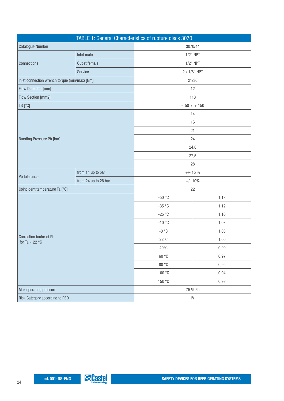|                                                | TABLE 1: General Characteristics of rupture discs 3070 |                           |      |  |  |  |
|------------------------------------------------|--------------------------------------------------------|---------------------------|------|--|--|--|
| <b>Catalogue Number</b>                        |                                                        | 3070/44                   |      |  |  |  |
|                                                | Inlet male                                             | $1/2$ " NPT               |      |  |  |  |
| Connections                                    | Outlet female                                          | $1/2$ " NPT               |      |  |  |  |
|                                                | Service                                                | 2 x 1/8" NPT              |      |  |  |  |
| Inlet connection wrench torque (min/max) [Nm]  |                                                        | 21/30                     |      |  |  |  |
| Flow Diameter [mm]                             |                                                        | 12                        |      |  |  |  |
| Flow Section [mm2]                             |                                                        | 113                       |      |  |  |  |
| TS [°C]                                        |                                                        | $-50 / + 150$             |      |  |  |  |
|                                                |                                                        | 14                        |      |  |  |  |
|                                                |                                                        | 16                        |      |  |  |  |
|                                                |                                                        | 21                        |      |  |  |  |
| <b>Bursting Pressure Pb [bar]</b>              |                                                        | 24                        |      |  |  |  |
|                                                |                                                        | 24,8                      |      |  |  |  |
|                                                |                                                        | 27,5                      |      |  |  |  |
|                                                |                                                        | 28                        |      |  |  |  |
|                                                | from 14 up to bar                                      | $+/- 15 \%$               |      |  |  |  |
| Pb tolerance                                   | from 24 up to 28 bar                                   | $+/- 10%$                 |      |  |  |  |
| Coincident temperature Ta [°C]                 |                                                        | 22                        |      |  |  |  |
|                                                |                                                        | $-50 °C$                  | 1,13 |  |  |  |
|                                                |                                                        | $-35 °C$                  | 1,12 |  |  |  |
|                                                |                                                        | $-25 °C$                  | 1,10 |  |  |  |
|                                                |                                                        | $-10 °C$                  | 1,03 |  |  |  |
|                                                |                                                        | -0 $^{\circ}{\rm C}$      | 1,03 |  |  |  |
| Correction factor of Pb<br>for Ta $\neq$ 22 °C |                                                        | $22^{\circ}$ C            | 1,00 |  |  |  |
|                                                |                                                        | $40^{\circ}$              | 0,99 |  |  |  |
|                                                |                                                        | $60\ ^{\circ}\textrm{C}$  | 0,97 |  |  |  |
|                                                |                                                        | $80~^\circ\mathrm{C}$     | 0,95 |  |  |  |
|                                                |                                                        | 100 °C                    | 0,94 |  |  |  |
|                                                |                                                        | $150\ ^{\circ}\textrm{C}$ | 0,93 |  |  |  |
| Max operating pressure                         |                                                        | 75 % Pb                   |      |  |  |  |
| Risk Category according to PED                 |                                                        | ${\sf IV}$                |      |  |  |  |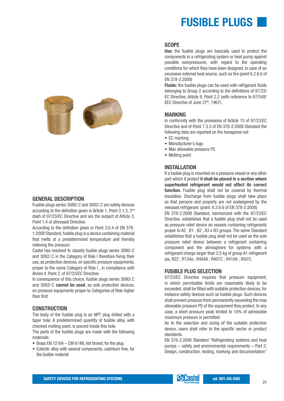### **FUSIBLE PLUGS**

### **SCOPE**

**Use:** the fusible plugs are basically used to protect the components in a refrigerating system or heat pump against possible overpressures, with regard to the operating conditions for which they have been designed, in case of an excessive external heat source, such as fire (point 6.2.6.6 of EN 378-2:2008)

**Fluids:** the fusible plugs can be used with refrigerant fluids belonging to Group 2 according to the definitions of 97/23/ EC Directive, Article 9, Point 2.2 (with reference to 67/548/ EEC Directive of June 27th, 1967).

### **MARKING**

In conformity with the provisions of Article 15 of 97/23/EC Directive and of Point 7.3.3 of EN 378-2:2008 Standard the following data are reported on the hexagonal nut:

- EC marking
- Manufacturer's logo
- Max allowable pressure PS
- Melting point

### **INSTALLATION**

If a fusible plug is mounted on a pressure vessel or any other part which it protect **it shall be placed in a section where superheated refrigerant would not affect its correct function.** Fusible plug shall not be covered by thermal insulation. Discharge from fusible plugs shall take place so that persons and property are not endangered by the released refrigerant. (point. 6.2.6.6 of EN 378-2:2008)

EN 378-2:2008 Standard, harmonized with the 97/23/EC Directive, establishes that a fusible plug shall not be used as pressure relief device on vessels containing refrigerants proper to A2 , B1 , B2 , A3 e B3 groups. The same Standard establishes that a fusible plug shall not be used as the sole pressure relief device between a refrigerant containing component and the atmosphere for systems with a refrigerant charge larger than 2,5 kg of group A1 refrigerant (ex. R22 ; R134a ; R404A ; R407C ; R410A ; R507).

### **FUSIBLE PLUG SELECTION**

97/23/EC Directive requires that pressure equipment, in which permissible limits are reasonably likely to be exceeded, shall be fitted with suitable protection devices, for instance safety devices such as fusible plugs. Such devices shall prevent pressure from permanently exceeding the max allowable pressure PS of the equipment they protect. In any case, a short pressure peak limited to 10% of admissible maximum pressure is permitted.

As to the selection and sizing of the suitable protection device, users shall refer to the specific sector or product standards.

EN 378-2:2008 Standard "Refrigerating systems and heat pumps – safety and environmental requirements – Part 2: Design, construction, testing, marking and documentation"



### **GENERAL DESCRIPTION**

Fusible plugs series 3080/.C and 3082/.C are safety devices according to the definition given in Article 1, Point 2.1.3, 2<sup>nd</sup> dash of 97/23/EC Directive and are the subject of Article 3, Point 1.4 of aforesaid Directive.

According to the definition given in Point 3.6.4 of EN 378- 1:2008 Standard, fusible plug is a device containing material that melts at a predetermined temperature and thereby relieving the pressure.

Castel has resolved to classify fusible plugs series 3080/.C and 3082/.C in the Category of Risk I therefore fixing their use, as protection devices, on specific pressure equipments, proper to the same Category of Risk I , in compliance with Annex II, Point 2, of 97/23/EC Directive.

In consequence of this choice, fusible plugs series 3080/.C and 3082/.C **cannot be used**, as sole protection devices, on pressure equipments proper to Categories of Risk higher than first.

### **CONSTRUCTION**

The body of the fusible plug is an NPT plug drilled with a taper hole. A predetermined quantity of fusible alloy, with checked melting point, is poured inside this hole.

The parts of the fusible plugs are made with the following materials:

- Brass EN 12164 CW 614N, hot tinned, for the plug
- Eutectic alloy with several components, cadmium free, for the fusible material

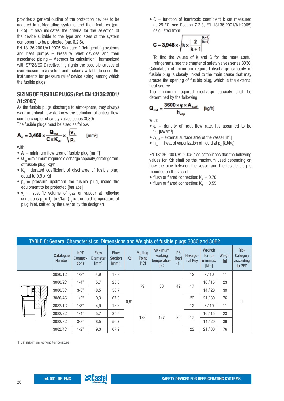provides a general outline of the protection devices to be adopted in refrigerating systems and their features (par. 6.2.5). It also indicates the criteria for the selection of the device suitable to the type and sizes of the system component to be protected (par. 6.2.6).

EN 13136:2001/A1:2005 Standard " Refrigerating systems and heat pumps – Pressure relief devices and their associated piping – Methods for calculation", harmonized with 97/23/EC Directive, highlights the possible causes of overpressure in a system and makes available to users the instruments for pressure relief device sizing, among which the fusible plugs.

### **SIZING OF FUSIBLE PLUGS (Ref. EN 13136:2001/ A1:2005)**

As the fusible plugs discharge to atmosphere, they always work in critical flow (to know the definition of critical flow, see the chapter of safety valves series 3030). The fusible plugs must be sized as follow:

 $\overline{ }$ 

$$
\mathbf{A}_{\rm e} = 3,469 \times \frac{\mathbf{Q}_{\rm md}}{\mathbf{C} \times \mathbf{K}_{\rm dr}} \times \sqrt{\frac{\mathbf{V}_{\rm e}}{\mathbf{p}_{\rm e}}} \qquad \text{[mm}^2\text{]}
$$

with:

- $A_c$  = minimum flow area of fusible plug [mm<sup>2</sup>]
- $\bullet$   $\ddot{Q}_{\text{rad}}$  = minimum required discharge capacity, of refrigerant, of fusible plug [kg/h]
- $K_{dr}$  =derated coefficient of discharge of fusible plug, equal to 0,9 x Kd
- $p_{o}$  = pressure upstream the fusible plug, inside the equipment to be protected [bar abs]
- $v_0$  = specific volume of gas or vapour at relieving conditions  $p_{o}$  e T<sub>o</sub>, [m<sup>3</sup>/kg] (T<sub>o</sub> is the fluid temperature at plug inlet, settled by the user or by the designer)

•  $C =$  function of isentropic coefficient k (as measured at 25 °C, see Section 7.2.3, EN 13136:2001/A1:2005) calculated from:

$$
C = 3{,}948 \times \sqrt{k \times \left| \frac{2}{k+1} \right|^{\frac{(k+1)}{(k-1)}}}
$$

To find the values of k and C for the more useful refrigerants, see the chapter of safety valves series 3030. Calculation of minimum required discharge capacity of fusible plug is closely linked to the main cause that may arouse the opening of fusible plug, which is the external heat source.

The minimum required discharge capacity shall be determined by the following:

$$
Q_{\text{md}} = \frac{3600 \times \varphi \times A_{\text{surf}}}{h_{\text{max}}} \quad [\text{kg/h}]
$$

with:

- $\bullet$   $\sigma$  = density of heat flow rate, it's assumed to be 10 [kW/m2 ]
- $A_{\text{surf}}$  = external surface area of the vessel [m<sup>2</sup>]
- $h_{vap}$  = heat of vaporization of liquid at  $p_{o}$  [kJ/kg]

EN 13136:2001/A1:2005 also establishes that the following values for Kdr shall be the maximum used depending on how the pipe between the vessel and the fusible plug is mounted on the vessel:

- flush or flared connection:  $K_d = 0.70$
- flush or flared connection:  $K_{dr} = 0.55$

| TABLE 8: General Characteristics, Dimensions and Weights of fusible plugs 3080 and 3082 |                            |                                |                                 |                                                 |      |                                 |                                                  |                    |                    |                                            |               |                                                |
|-----------------------------------------------------------------------------------------|----------------------------|--------------------------------|---------------------------------|-------------------------------------------------|------|---------------------------------|--------------------------------------------------|--------------------|--------------------|--------------------------------------------|---------------|------------------------------------------------|
|                                                                                         | Catalogue<br><b>Number</b> | <b>NPT</b><br>Connec-<br>tions | <b>Flow</b><br>Diameter<br>[mm] | <b>Flow</b><br><b>Section</b><br>$\text{[mm}^2$ | Kd   | <b>Melting</b><br>Point<br>[°C] | <b>Maximum</b><br>working<br>temperature<br>[°C] | PS<br>[bar]<br>(1) | Hexago-<br>nal Key | Wrench<br><b>Torque</b><br>min/max<br>[Nm] | Weight<br>[g] | <b>Risk</b><br>Category<br>according<br>to PED |
| q                                                                                       | 3080/1C                    | 1/8"                           | 4,9                             | 18,8                                            | 0.91 |                                 | 68                                               | 42                 | 12                 | 7/10                                       | 11            | 23<br>39<br>76<br>11<br>23<br>39<br>76         |
|                                                                                         | 3080/2C                    | 1/4"                           | 5,7                             | 25,5                                            |      | 79                              |                                                  |                    | 17                 | 10/15                                      |               |                                                |
|                                                                                         | 3080/3C                    | 3/8"                           | 8,5                             | 56,7                                            |      |                                 |                                                  |                    |                    | 14/20                                      |               |                                                |
|                                                                                         | 3080/4C                    | 1/2"                           | 9,3                             | 67,9                                            |      |                                 |                                                  |                    | 22                 | 21/30                                      |               |                                                |
|                                                                                         | 3082/1C                    | 1/8"                           | 4,9                             | 18,8                                            |      | 138                             | 127                                              | 30                 | 12                 | 7/10                                       |               |                                                |
|                                                                                         | 3082/2C                    | 1/4"                           | 5,7                             | 25,5                                            |      |                                 |                                                  |                    | 17                 | 10/15                                      |               |                                                |
|                                                                                         | 3082/3C                    | 3/8"                           | 8,5                             | 56,7                                            |      |                                 |                                                  |                    |                    | 14/20                                      |               |                                                |
|                                                                                         | 3082/4C                    | 1/2"                           | 9,3                             | 67,9                                            |      |                                 |                                                  |                    | 22                 | 21/30                                      |               |                                                |

(1) : at maximum working temperature